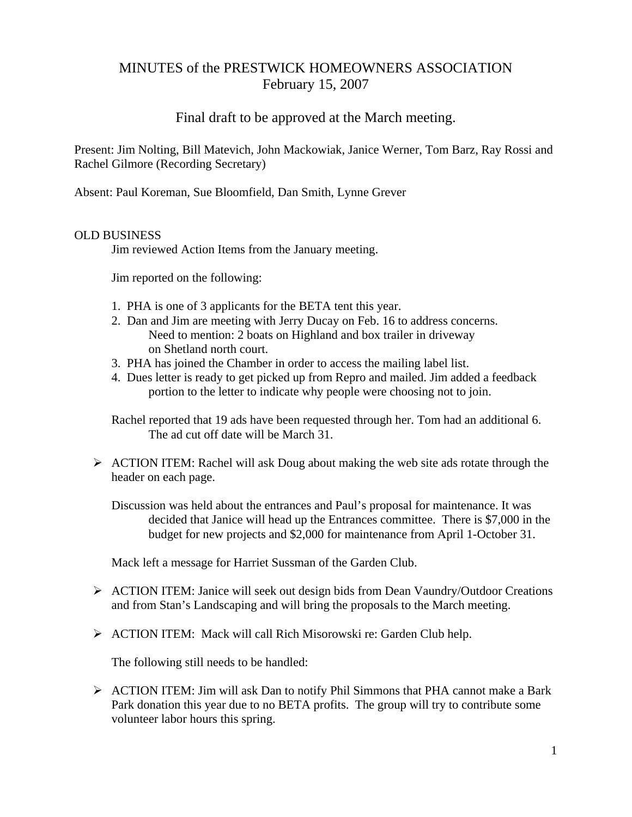# MINUTES of the PRESTWICK HOMEOWNERS ASSOCIATION February 15, 2007

# Final draft to be approved at the March meeting.

Present: Jim Nolting, Bill Matevich, John Mackowiak, Janice Werner, Tom Barz, Ray Rossi and Rachel Gilmore (Recording Secretary)

Absent: Paul Koreman, Sue Bloomfield, Dan Smith, Lynne Grever

# OLD BUSINESS

Jim reviewed Action Items from the January meeting.

Jim reported on the following:

- 1. PHA is one of 3 applicants for the BETA tent this year.
- 2. Dan and Jim are meeting with Jerry Ducay on Feb. 16 to address concerns. Need to mention: 2 boats on Highland and box trailer in driveway on Shetland north court.
- 3. PHA has joined the Chamber in order to access the mailing label list.
- 4. Dues letter is ready to get picked up from Repro and mailed. Jim added a feedback portion to the letter to indicate why people were choosing not to join.

 Rachel reported that 19 ads have been requested through her. Tom had an additional 6. The ad cut off date will be March 31.

 $\triangleright$  ACTION ITEM: Rachel will ask Doug about making the web site ads rotate through the header on each page.

 Discussion was held about the entrances and Paul's proposal for maintenance. It was decided that Janice will head up the Entrances committee. There is \$7,000 in the budget for new projects and \$2,000 for maintenance from April 1-October 31.

Mack left a message for Harriet Sussman of the Garden Club.

- ¾ ACTION ITEM: Janice will seek out design bids from Dean Vaundry/Outdoor Creations and from Stan's Landscaping and will bring the proposals to the March meeting.
- ¾ ACTION ITEM: Mack will call Rich Misorowski re: Garden Club help.

The following still needs to be handled:

 $\triangleright$  ACTION ITEM: Jim will ask Dan to notify Phil Simmons that PHA cannot make a Bark Park donation this year due to no BETA profits. The group will try to contribute some volunteer labor hours this spring.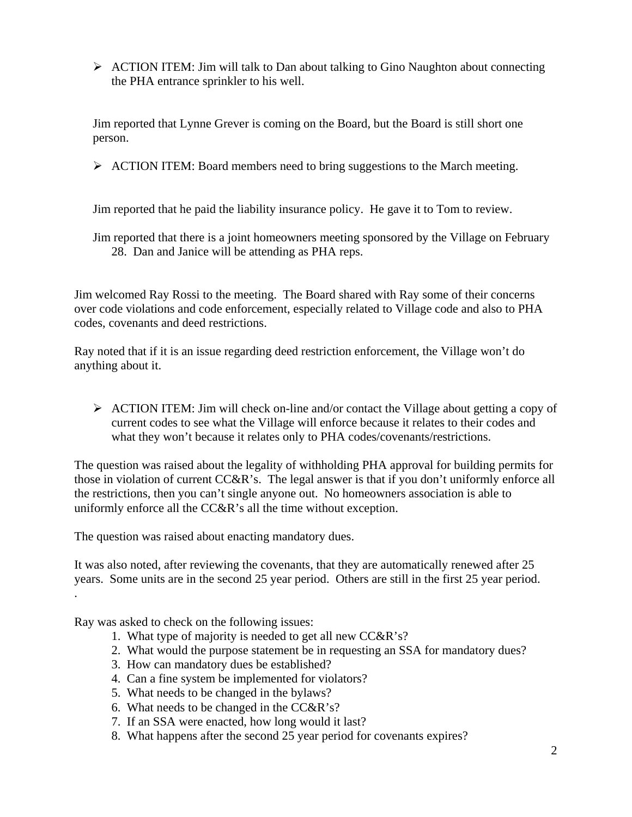¾ ACTION ITEM: Jim will talk to Dan about talking to Gino Naughton about connecting the PHA entrance sprinkler to his well.

Jim reported that Lynne Grever is coming on the Board, but the Board is still short one person.

 $\triangleright$  ACTION ITEM: Board members need to bring suggestions to the March meeting.

Jim reported that he paid the liability insurance policy. He gave it to Tom to review.

 Jim reported that there is a joint homeowners meeting sponsored by the Village on February 28. Dan and Janice will be attending as PHA reps.

Jim welcomed Ray Rossi to the meeting. The Board shared with Ray some of their concerns over code violations and code enforcement, especially related to Village code and also to PHA codes, covenants and deed restrictions.

Ray noted that if it is an issue regarding deed restriction enforcement, the Village won't do anything about it.

¾ ACTION ITEM: Jim will check on-line and/or contact the Village about getting a copy of current codes to see what the Village will enforce because it relates to their codes and what they won't because it relates only to PHA codes/covenants/restrictions.

The question was raised about the legality of withholding PHA approval for building permits for those in violation of current CC&R's. The legal answer is that if you don't uniformly enforce all the restrictions, then you can't single anyone out. No homeowners association is able to uniformly enforce all the CC&R's all the time without exception.

The question was raised about enacting mandatory dues.

It was also noted, after reviewing the covenants, that they are automatically renewed after 25 years. Some units are in the second 25 year period. Others are still in the first 25 year period. .

Ray was asked to check on the following issues:

- 1. What type of majority is needed to get all new CC&R's?
- 2. What would the purpose statement be in requesting an SSA for mandatory dues?
- 3. How can mandatory dues be established?
- 4. Can a fine system be implemented for violators?
- 5. What needs to be changed in the bylaws?
- 6. What needs to be changed in the CC&R's?
- 7. If an SSA were enacted, how long would it last?
- 8. What happens after the second 25 year period for covenants expires?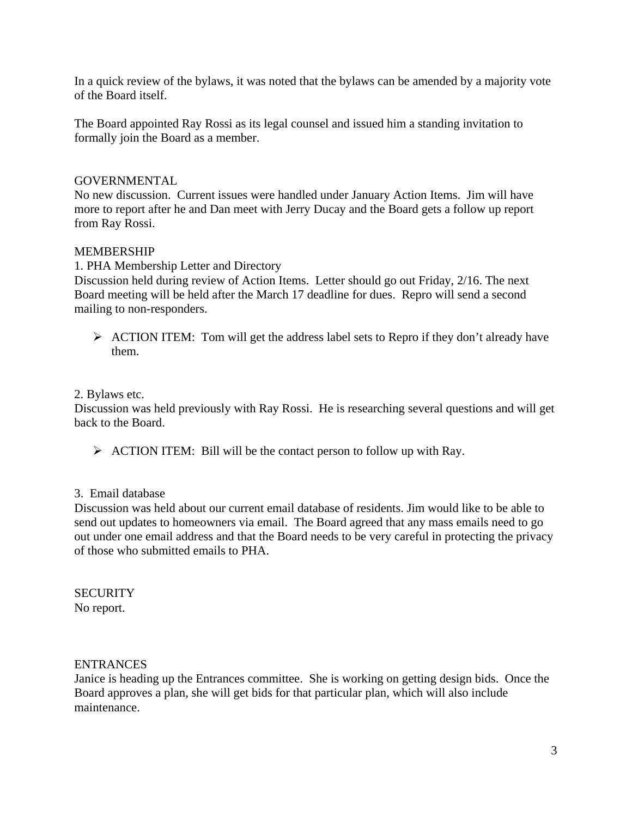In a quick review of the bylaws, it was noted that the bylaws can be amended by a majority vote of the Board itself.

The Board appointed Ray Rossi as its legal counsel and issued him a standing invitation to formally join the Board as a member.

# GOVERNMENTAL

No new discussion. Current issues were handled under January Action Items. Jim will have more to report after he and Dan meet with Jerry Ducay and the Board gets a follow up report from Ray Rossi.

### MEMBERSHIP

1. PHA Membership Letter and Directory

Discussion held during review of Action Items. Letter should go out Friday, 2/16. The next Board meeting will be held after the March 17 deadline for dues. Repro will send a second mailing to non-responders.

 $\triangleright$  ACTION ITEM: Tom will get the address label sets to Repro if they don't already have them.

### 2. Bylaws etc.

Discussion was held previously with Ray Rossi. He is researching several questions and will get back to the Board.

 $\triangleright$  ACTION ITEM: Bill will be the contact person to follow up with Ray.

### 3. Email database

Discussion was held about our current email database of residents. Jim would like to be able to send out updates to homeowners via email. The Board agreed that any mass emails need to go out under one email address and that the Board needs to be very careful in protecting the privacy of those who submitted emails to PHA.

#### **SECURITY** No report.

### ENTRANCES

Janice is heading up the Entrances committee. She is working on getting design bids. Once the Board approves a plan, she will get bids for that particular plan, which will also include maintenance.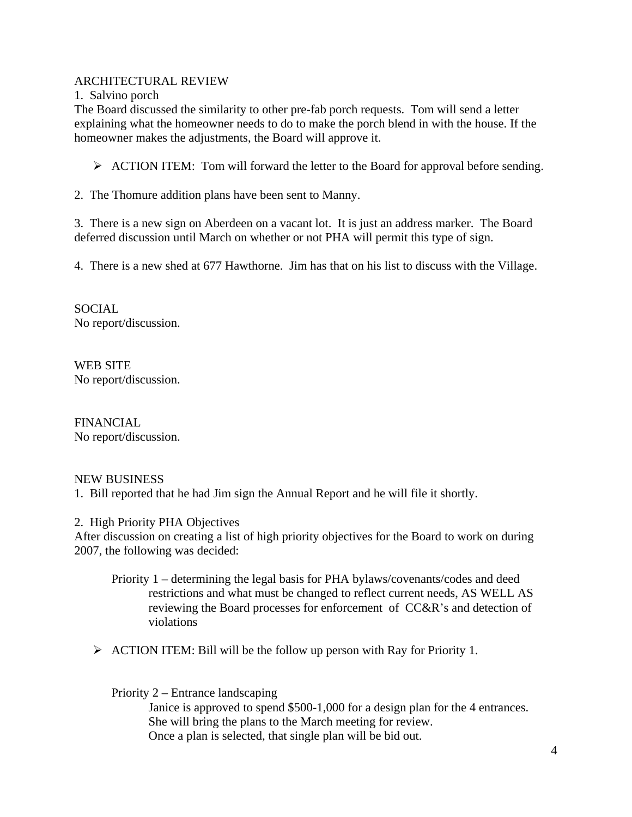# ARCHITECTURAL REVIEW

1. Salvino porch

The Board discussed the similarity to other pre-fab porch requests. Tom will send a letter explaining what the homeowner needs to do to make the porch blend in with the house. If the homeowner makes the adjustments, the Board will approve it.

 $\triangleright$  ACTION ITEM: Tom will forward the letter to the Board for approval before sending.

2. The Thomure addition plans have been sent to Manny.

3. There is a new sign on Aberdeen on a vacant lot. It is just an address marker. The Board deferred discussion until March on whether or not PHA will permit this type of sign.

4. There is a new shed at 677 Hawthorne. Jim has that on his list to discuss with the Village.

SOCIAL No report/discussion.

WEB SITE No report/discussion.

FINANCIAL No report/discussion.

# NEW BUSINESS

1. Bill reported that he had Jim sign the Annual Report and he will file it shortly.

2. High Priority PHA Objectives

After discussion on creating a list of high priority objectives for the Board to work on during 2007, the following was decided:

- Priority 1 determining the legal basis for PHA bylaws/covenants/codes and deed restrictions and what must be changed to reflect current needs, AS WELL AS reviewing the Board processes for enforcement of CC&R's and detection of violations
- $\triangleright$  ACTION ITEM: Bill will be the follow up person with Ray for Priority 1.

Priority 2 – Entrance landscaping

 Janice is approved to spend \$500-1,000 for a design plan for the 4 entrances. She will bring the plans to the March meeting for review. Once a plan is selected, that single plan will be bid out.